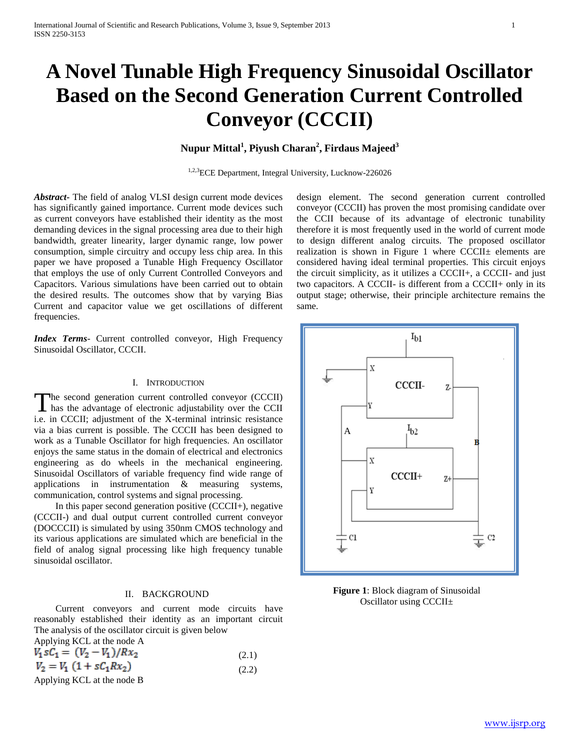# **A Novel Tunable High Frequency Sinusoidal Oscillator Based on the Second Generation Current Controlled Conveyor (CCCII)**

# **Nupur Mittal<sup>1</sup> , Piyush Charan<sup>2</sup> , Firdaus Majeed<sup>3</sup>**

1,2,3ECE Department, Integral University, Lucknow-226026

*Abstract***-** The field of analog VLSI design current mode devices has significantly gained importance. Current mode devices such as current conveyors have established their identity as the most demanding devices in the signal processing area due to their high bandwidth, greater linearity, larger dynamic range, low power consumption, simple circuitry and occupy less chip area. In this paper we have proposed a Tunable High Frequency Oscillator that employs the use of only Current Controlled Conveyors and Capacitors. Various simulations have been carried out to obtain the desired results. The outcomes show that by varying Bias Current and capacitor value we get oscillations of different frequencies.

*Index Terms*- Current controlled conveyor, High Frequency Sinusoidal Oscillator, CCCII.

### I. INTRODUCTION

The second generation current controlled conveyor (CCCII) The second generation current controlled conveyor (CCCII)<br>has the advantage of electronic adjustability over the CCII i.e. in CCCII; adjustment of the X-terminal intrinsic resistance via a bias current is possible. The CCCII has been designed to work as a Tunable Oscillator for high frequencies. An oscillator enjoys the same status in the domain of electrical and electronics engineering as do wheels in the mechanical engineering. Sinusoidal Oscillators of variable frequency find wide range of applications in instrumentation & measuring systems, communication, control systems and signal processing.

 In this paper second generation positive (CCCII+), negative (CCCII-) and dual output current controlled current conveyor (DOCCCII) is simulated by using 350nm CMOS technology and its various applications are simulated which are beneficial in the field of analog signal processing like high frequency tunable sinusoidal oscillator.

### II. BACKGROUND

 Current conveyors and current mode circuits have reasonably established their identity as an important circuit The analysis of the oscillator circuit is given below

| Applying KCL at the node A                                                                                                                                                                                                                                                                                                         |       |
|------------------------------------------------------------------------------------------------------------------------------------------------------------------------------------------------------------------------------------------------------------------------------------------------------------------------------------|-------|
| $V_1 sC_1 = (V_2 - V_1)/Rx_2$                                                                                                                                                                                                                                                                                                      | (2.1) |
| $V_2 = V_1 (1 + sC_1Rx_2)$                                                                                                                                                                                                                                                                                                         | (2.2) |
| $\mathbf{1}$ $\mathbf{1}$ $\mathbf{1}$ $\mathbf{1}$ $\mathbf{1}$ $\mathbf{1}$ $\mathbf{1}$ $\mathbf{1}$ $\mathbf{1}$ $\mathbf{1}$ $\mathbf{1}$ $\mathbf{1}$ $\mathbf{1}$ $\mathbf{1}$ $\mathbf{1}$ $\mathbf{1}$ $\mathbf{1}$ $\mathbf{1}$ $\mathbf{1}$ $\mathbf{1}$ $\mathbf{1}$ $\mathbf{1}$ $\mathbf{1}$ $\mathbf{1}$ $\mathbf{$ |       |

Applying KCL at the node B

design element. The second generation current controlled conveyor (CCCII) has proven the most promising candidate over the CCII because of its advantage of electronic tunability therefore it is most frequently used in the world of current mode to design different analog circuits. The proposed oscillator realization is shown in Figure 1 where CCCII± elements are considered having ideal terminal properties. This circuit enjoys the circuit simplicity, as it utilizes a CCCII+, a CCCII- and just two capacitors. A CCCII- is different from a CCCII+ only in its output stage; otherwise, their principle architecture remains the same.



**Figure 1**: Block diagram of Sinusoidal Oscillator using CCCII±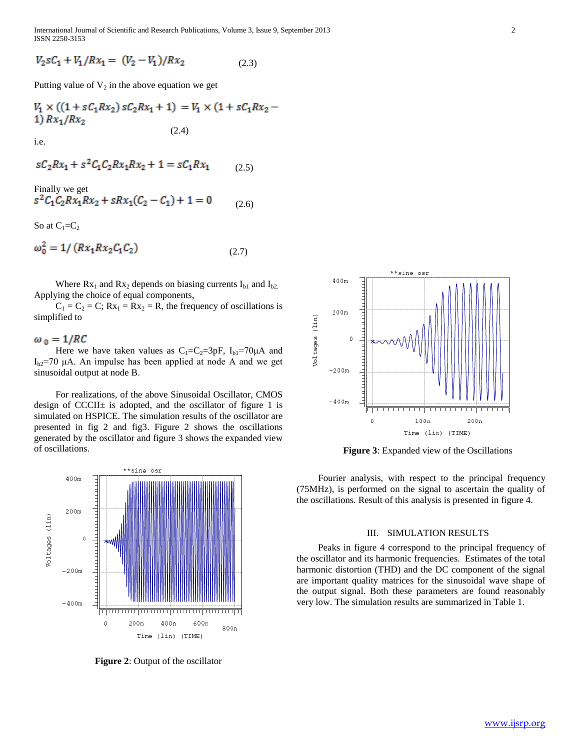International Journal of Scientific and Research Publications, Volume 3, Issue 9, September 2013 2 ISSN 2250-3153

(2.6)

$$
V_2 sC_1 + V_1/Rx_1 = (V_2 - V_1)/Rx_2 \tag{2.3}
$$

Putting value of  $V_2$  in the above equation we get

$$
V_1 \times ((1 + sC_1Rx_2) sC_2Rx_1 + 1) = V_1 \times (1 + sC_1Rx_2 - 1) Rx_1/Rx_2
$$
\n(2.4)

i.e.

$$
sC_2Rx_1 + s^2C_1C_2Rx_1Rx_2 + 1 = sC_1Rx_1 \tag{2.5}
$$

Finally we get<br> $s^2C_1C_2Rx_1Rx_2 + sRx_1(C_2 - C_1) + 1 = 0$ 

So at  $C_1=C_2$ 

$$
\omega_0^2 = 1 / (R x_1 R x_2 C_1 C_2) \tag{2.7}
$$

Where  $Rx_1$  and  $Rx_2$  depends on biasing currents  $I_{b1}$  and  $I_{b2}$ . Applying the choice of equal components,

 $C_1 = C_2 = C$ ;  $Rx_1 = Rx_2 = R$ , the frequency of oscillations is simplified to

#### $\omega_0 = 1/RC$

Here we have taken values as  $C_1=C_2=3pF$ ,  $I_{b1}=70\mu A$  and  $I_{b2}=70$  μA. An impulse has been applied at node A and we get sinusoidal output at node B.

 For realizations, of the above Sinusoidal Oscillator, CMOS design of CCCII $\pm$  is adopted, and the oscillator of figure 1 is simulated on HSPICE. The simulation results of the oscillator are presented in fig 2 and fig3. Figure 2 shows the oscillations generated by the oscillator and figure 3 shows the expanded view of oscillations.



**Figure 2**: Output of the oscillator



**Figure 3**: Expanded view of the Oscillations

 Fourier analysis, with respect to the principal frequency (75MHz), is performed on the signal to ascertain the quality of the oscillations. Result of this analysis is presented in figure 4.

#### III. SIMULATION RESULTS

 Peaks in figure 4 correspond to the principal frequency of the oscillator and its harmonic frequencies. Estimates of the total harmonic distortion (THD) and the DC component of the signal are important quality matrices for the sinusoidal wave shape of the output signal. Both these parameters are found reasonably very low. The simulation results are summarized in Table 1.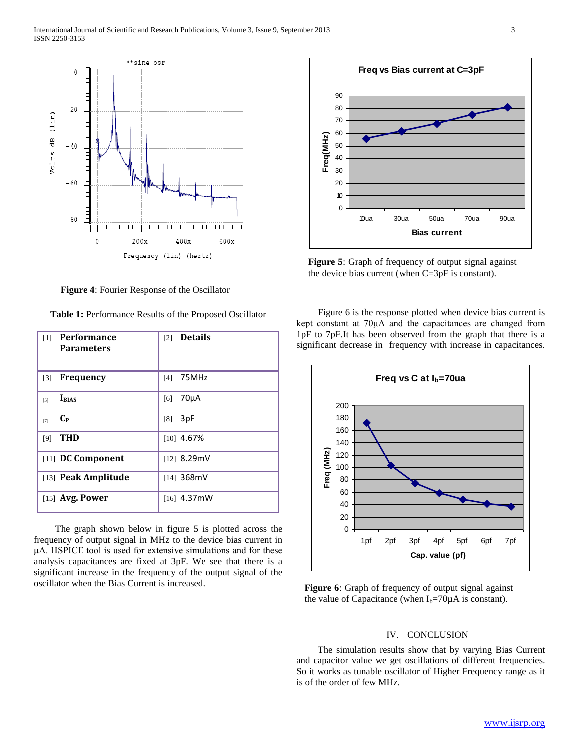

**Figure 4**: Fourier Response of the Oscillator

**Table 1:** Performance Results of the Proposed Oscillator

| <b>Performance</b><br>$\lceil 1 \rceil$<br><b>Parameters</b> | <b>Details</b><br>[2] |
|--------------------------------------------------------------|-----------------------|
| <b>Frequency</b><br>$\lceil 3 \rceil$                        | 75MHz<br>[4]          |
| <b>I</b> BIAS<br>$\lceil 5 \rceil$                           | $70\mu A$<br>[6]      |
| $C_{P}$<br>$[7]$                                             | 3pF<br>[8]            |
| <b>THD</b><br>[9]                                            | $[10]$ 4.67%          |
| [11] DC Component                                            | $[12]$ 8.29mV         |
| [13] Peak Amplitude                                          | [14] 368mV            |
| $[15]$ Avg. Power                                            | $[16]$ 4.37mW         |

 The graph shown below in figure 5 is plotted across the frequency of output signal in MHz to the device bias current in μA. HSPICE tool is used for extensive simulations and for these analysis capacitances are fixed at 3pF. We see that there is a significant increase in the frequency of the output signal of the oscillator when the Bias Current is increased.



**Figure 5**: Graph of frequency of output signal against the device bias current (when C=3pF is constant).

 Figure 6 is the response plotted when device bias current is kept constant at 70μA and the capacitances are changed from 1pF to 7pF.It has been observed from the graph that there is a significant decrease in frequency with increase in capacitances.



**Figure 6**: Graph of frequency of output signal against the value of Capacitance (when  $I_b = 70\mu A$  is constant).

## IV. CONCLUSION

 The simulation results show that by varying Bias Current and capacitor value we get oscillations of different frequencies. So it works as tunable oscillator of Higher Frequency range as it is of the order of few MHz.